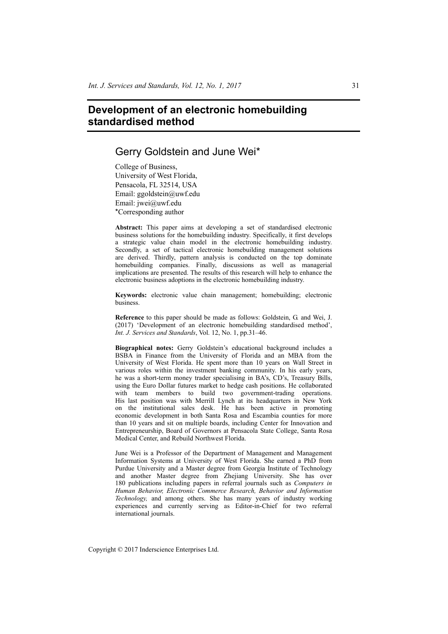# **Development of an electronic homebuilding standardised method**

# Gerry Goldstein and June Wei\*

College of Business, University of West Florida, Pensacola, FL 32514, USA Email: ggoldstein@uwf.edu Email: jwei@uwf.edu \*Corresponding author

**Abstract:** This paper aims at developing a set of standardised electronic business solutions for the homebuilding industry. Specifically, it first develops a strategic value chain model in the electronic homebuilding industry. Secondly, a set of tactical electronic homebuilding management solutions are derived. Thirdly, pattern analysis is conducted on the top dominate homebuilding companies. Finally, discussions as well as managerial implications are presented. The results of this research will help to enhance the electronic business adoptions in the electronic homebuilding industry.

**Keywords:** electronic value chain management; homebuilding; electronic business.

**Reference** to this paper should be made as follows: Goldstein, G. and Wei, J. (2017) 'Development of an electronic homebuilding standardised method', *Int. J. Services and Standards*, Vol. 12, No. 1, pp.31–46.

**Biographical notes:** Gerry Goldstein's educational background includes a BSBA in Finance from the University of Florida and an MBA from the University of West Florida. He spent more than 10 years on Wall Street in various roles within the investment banking community. In his early years, he was a short-term money trader specialising in BA's, CD's, Treasury Bills, using the Euro Dollar futures market to hedge cash positions. He collaborated with team members to build two government-trading operations. His last position was with Merrill Lynch at its headquarters in New York on the institutional sales desk. He has been active in promoting economic development in both Santa Rosa and Escambia counties for more than 10 years and sit on multiple boards, including Center for Innovation and Entrepreneurship, Board of Governors at Pensacola State College, Santa Rosa Medical Center, and Rebuild Northwest Florida.

June Wei is a Professor of the Department of Management and Management Information Systems at University of West Florida. She earned a PhD from Purdue University and a Master degree from Georgia Institute of Technology and another Master degree from Zhejiang University. She has over 180 publications including papers in referral journals such as *Computers in Human Behavior, Electronic Commerce Research, Behavior and Information Technology,* and among others. She has many years of industry working experiences and currently serving as Editor-in-Chief for two referral international journals.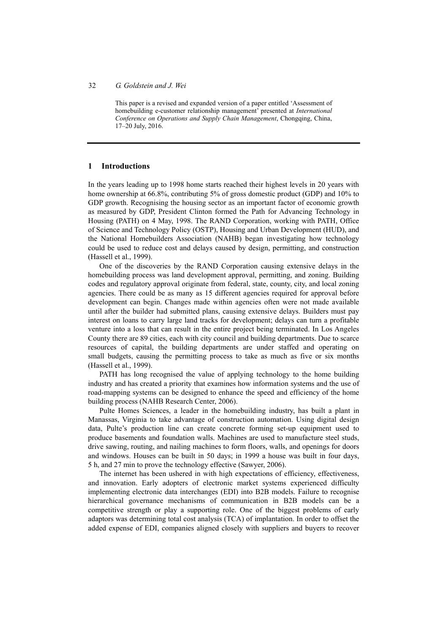This paper is a revised and expanded version of a paper entitled 'Assessment of homebuilding e-customer relationship management' presented at *International Conference on Operations and Supply Chain Management*, Chongqing, China, 17–20 July, 2016.

#### **1 Introductions**

In the years leading up to 1998 home starts reached their highest levels in 20 years with home ownership at 66.8%, contributing 5% of gross domestic product (GDP) and 10% to GDP growth. Recognising the housing sector as an important factor of economic growth as measured by GDP, President Clinton formed the Path for Advancing Technology in Housing (PATH) on 4 May, 1998. The RAND Corporation, working with PATH, Office of Science and Technology Policy (OSTP), Housing and Urban Development (HUD), and the National Homebuilders Association (NAHB) began investigating how technology could be used to reduce cost and delays caused by design, permitting, and construction (Hassell et al., 1999).

One of the discoveries by the RAND Corporation causing extensive delays in the homebuilding process was land development approval, permitting, and zoning. Building codes and regulatory approval originate from federal, state, county, city, and local zoning agencies. There could be as many as 15 different agencies required for approval before development can begin. Changes made within agencies often were not made available until after the builder had submitted plans, causing extensive delays. Builders must pay interest on loans to carry large land tracks for development; delays can turn a profitable venture into a loss that can result in the entire project being terminated. In Los Angeles County there are 89 cities, each with city council and building departments. Due to scarce resources of capital, the building departments are under staffed and operating on small budgets, causing the permitting process to take as much as five or six months (Hassell et al., 1999).

PATH has long recognised the value of applying technology to the home building industry and has created a priority that examines how information systems and the use of road-mapping systems can be designed to enhance the speed and efficiency of the home building process (NAHB Research Center, 2006).

Pulte Homes Sciences, a leader in the homebuilding industry, has built a plant in Manassas, Virginia to take advantage of construction automation. Using digital design data, Pulte's production line can create concrete forming set-up equipment used to produce basements and foundation walls. Machines are used to manufacture steel studs, drive sawing, routing, and nailing machines to form floors, walls, and openings for doors and windows. Houses can be built in 50 days; in 1999 a house was built in four days, 5 h, and 27 min to prove the technology effective (Sawyer, 2006).

The internet has been ushered in with high expectations of efficiency, effectiveness, and innovation. Early adopters of electronic market systems experienced difficulty implementing electronic data interchanges (EDI) into B2B models. Failure to recognise hierarchical governance mechanisms of communication in B2B models can be a competitive strength or play a supporting role. One of the biggest problems of early adaptors was determining total cost analysis (TCA) of implantation. In order to offset the added expense of EDI, companies aligned closely with suppliers and buyers to recover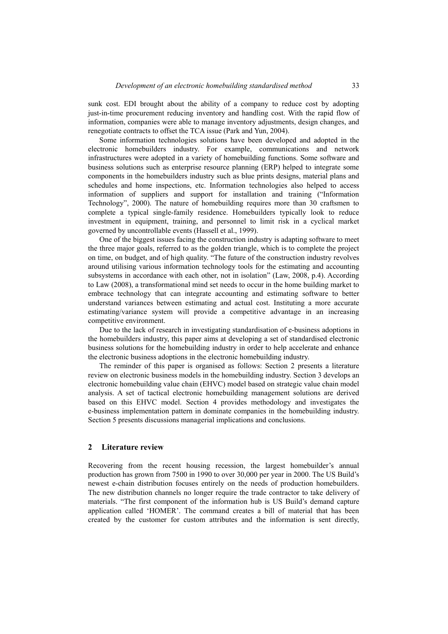sunk cost. EDI brought about the ability of a company to reduce cost by adopting just-in-time procurement reducing inventory and handling cost. With the rapid flow of information, companies were able to manage inventory adjustments, design changes, and renegotiate contracts to offset the TCA issue (Park and Yun, 2004).

Some information technologies solutions have been developed and adopted in the electronic homebuilders industry. For example, communications and network infrastructures were adopted in a variety of homebuilding functions. Some software and business solutions such as enterprise resource planning (ERP) helped to integrate some components in the homebuilders industry such as blue prints designs, material plans and schedules and home inspections, etc. Information technologies also helped to access information of suppliers and support for installation and training ("Information Technology", 2000). The nature of homebuilding requires more than 30 craftsmen to complete a typical single-family residence. Homebuilders typically look to reduce investment in equipment, training, and personnel to limit risk in a cyclical market governed by uncontrollable events (Hassell et al., 1999).

One of the biggest issues facing the construction industry is adapting software to meet the three major goals, referred to as the golden triangle, which is to complete the project on time, on budget, and of high quality. "The future of the construction industry revolves around utilising various information technology tools for the estimating and accounting subsystems in accordance with each other, not in isolation" (Law, 2008, p.4). According to Law (2008), a transformational mind set needs to occur in the home building market to embrace technology that can integrate accounting and estimating software to better understand variances between estimating and actual cost. Instituting a more accurate estimating/variance system will provide a competitive advantage in an increasing competitive environment.

Due to the lack of research in investigating standardisation of e-business adoptions in the homebuilders industry, this paper aims at developing a set of standardised electronic business solutions for the homebuilding industry in order to help accelerate and enhance the electronic business adoptions in the electronic homebuilding industry.

The reminder of this paper is organised as follows: Section 2 presents a literature review on electronic business models in the homebuilding industry. Section 3 develops an electronic homebuilding value chain (EHVC) model based on strategic value chain model analysis. A set of tactical electronic homebuilding management solutions are derived based on this EHVC model. Section 4 provides methodology and investigates the e-business implementation pattern in dominate companies in the homebuilding industry. Section 5 presents discussions managerial implications and conclusions.

#### **2 Literature review**

Recovering from the recent housing recession, the largest homebuilder's annual production has grown from 7500 in 1990 to over 30,000 per year in 2000. The US Build's newest e-chain distribution focuses entirely on the needs of production homebuilders. The new distribution channels no longer require the trade contractor to take delivery of materials. "The first component of the information hub is US Build's demand capture application called 'HOMER'. The command creates a bill of material that has been created by the customer for custom attributes and the information is sent directly,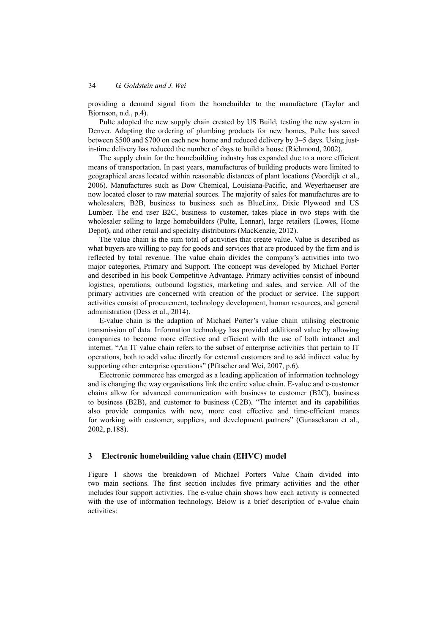providing a demand signal from the homebuilder to the manufacture (Taylor and Bjornson, n.d., p.4).

Pulte adopted the new supply chain created by US Build, testing the new system in Denver. Adapting the ordering of plumbing products for new homes, Pulte has saved between \$500 and \$700 on each new home and reduced delivery by 3–5 days. Using justin-time delivery has reduced the number of days to build a house (Richmond, 2002).

The supply chain for the homebuilding industry has expanded due to a more efficient means of transportation. In past years, manufactures of building products were limited to geographical areas located within reasonable distances of plant locations (Voordijk et al., 2006). Manufactures such as Dow Chemical, Louisiana-Pacific, and Weyerhaeuser are now located closer to raw material sources. The majority of sales for manufactures are to wholesalers, B2B, business to business such as BlueLinx, Dixie Plywood and US Lumber. The end user B2C, business to customer, takes place in two steps with the wholesaler selling to large homebuilders (Pulte, Lennar), large retailers (Lowes, Home Depot), and other retail and specialty distributors (MacKenzie, 2012).

The value chain is the sum total of activities that create value. Value is described as what buyers are willing to pay for goods and services that are produced by the firm and is reflected by total revenue. The value chain divides the company's activities into two major categories, Primary and Support. The concept was developed by Michael Porter and described in his book Competitive Advantage. Primary activities consist of inbound logistics, operations, outbound logistics, marketing and sales, and service. All of the primary activities are concerned with creation of the product or service. The support activities consist of procurement, technology development, human resources, and general administration (Dess et al., 2014).

E-value chain is the adaption of Michael Porter's value chain utilising electronic transmission of data. Information technology has provided additional value by allowing companies to become more effective and efficient with the use of both intranet and internet. "An IT value chain refers to the subset of enterprise activities that pertain to IT operations, both to add value directly for external customers and to add indirect value by supporting other enterprise operations" (Pfitscher and Wei, 2007, p.6).

Electronic commerce has emerged as a leading application of information technology and is changing the way organisations link the entire value chain. E-value and e-customer chains allow for advanced communication with business to customer (B2C), business to business (B2B), and customer to business (C2B). "The internet and its capabilities also provide companies with new, more cost effective and time-efficient manes for working with customer, suppliers, and development partners" (Gunasekaran et al., 2002, p.188).

#### **3 Electronic homebuilding value chain (EHVC) model**

Figure 1 shows the breakdown of Michael Porters Value Chain divided into two main sections. The first section includes five primary activities and the other includes four support activities. The e-value chain shows how each activity is connected with the use of information technology. Below is a brief description of e-value chain activities: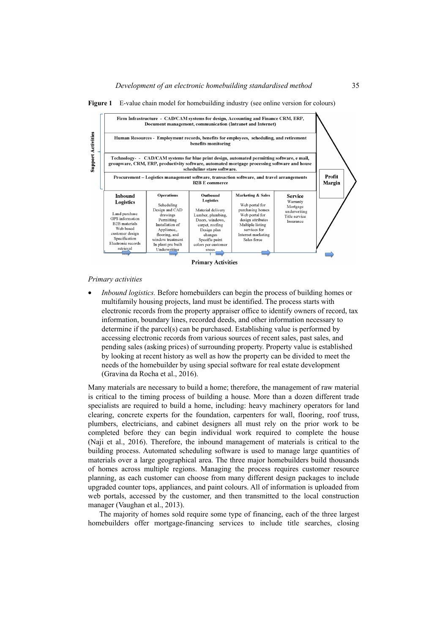

Figure 1 E-value chain model for homebuilding industry (see online version for colours)



#### *Primary activities*

• *Inbound logistics.* Before homebuilders can begin the process of building homes or multifamily housing projects, land must be identified. The process starts with electronic records from the property appraiser office to identify owners of record, tax information, boundary lines, recorded deeds, and other information necessary to determine if the parcel(s) can be purchased. Establishing value is performed by accessing electronic records from various sources of recent sales, past sales, and pending sales (asking prices) of surrounding property. Property value is established by looking at recent history as well as how the property can be divided to meet the needs of the homebuilder by using special software for real estate development (Gravina da Rocha et al., 2016).

Many materials are necessary to build a home; therefore, the management of raw material is critical to the timing process of building a house. More than a dozen different trade specialists are required to build a home, including: heavy machinery operators for land clearing, concrete experts for the foundation, carpenters for wall, flooring, roof truss, plumbers, electricians, and cabinet designers all must rely on the prior work to be completed before they can begin individual work required to complete the house (Naji et al., 2016). Therefore, the inbound management of materials is critical to the building process. Automated scheduling software is used to manage large quantities of materials over a large geographical area. The three major homebuilders build thousands of homes across multiple regions. Managing the process requires customer resource planning, as each customer can choose from many different design packages to include upgraded counter tops, appliances, and paint colours. All of information is uploaded from web portals, accessed by the customer, and then transmitted to the local construction manager (Vaughan et al., 2013).

The majority of homes sold require some type of financing, each of the three largest homebuilders offer mortgage-financing services to include title searches, closing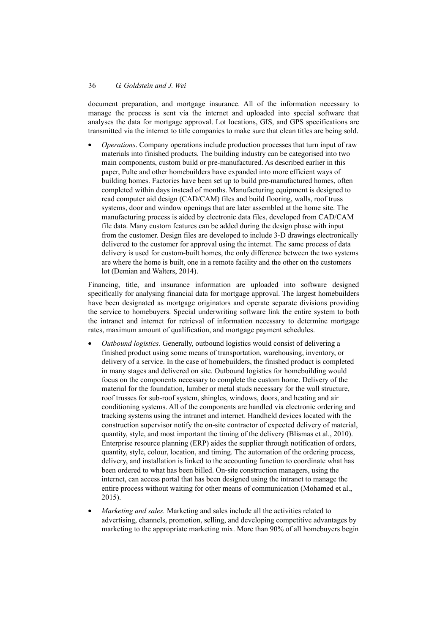document preparation, and mortgage insurance. All of the information necessary to manage the process is sent via the internet and uploaded into special software that analyses the data for mortgage approval. Lot locations, GIS, and GPS specifications are transmitted via the internet to title companies to make sure that clean titles are being sold.

• *Operations*. Company operations include production processes that turn input of raw materials into finished products. The building industry can be categorised into two main components, custom build or pre-manufactured. As described earlier in this paper, Pulte and other homebuilders have expanded into more efficient ways of building homes. Factories have been set up to build pre-manufactured homes, often completed within days instead of months. Manufacturing equipment is designed to read computer aid design (CAD/CAM) files and build flooring, walls, roof truss systems, door and window openings that are later assembled at the home site. The manufacturing process is aided by electronic data files, developed from CAD/CAM file data. Many custom features can be added during the design phase with input from the customer. Design files are developed to include 3-D drawings electronically delivered to the customer for approval using the internet. The same process of data delivery is used for custom-built homes, the only difference between the two systems are where the home is built, one in a remote facility and the other on the customers lot (Demian and Walters, 2014).

Financing, title, and insurance information are uploaded into software designed specifically for analysing financial data for mortgage approval. The largest homebuilders have been designated as mortgage originators and operate separate divisions providing the service to homebuyers. Special underwriting software link the entire system to both the intranet and internet for retrieval of information necessary to determine mortgage rates, maximum amount of qualification, and mortgage payment schedules.

- *Outbound logistics.* Generally, outbound logistics would consist of delivering a finished product using some means of transportation, warehousing, inventory, or delivery of a service. In the case of homebuilders, the finished product is completed in many stages and delivered on site. Outbound logistics for homebuilding would focus on the components necessary to complete the custom home. Delivery of the material for the foundation, lumber or metal studs necessary for the wall structure, roof trusses for sub-roof system, shingles, windows, doors, and heating and air conditioning systems. All of the components are handled via electronic ordering and tracking systems using the intranet and internet. Handheld devices located with the construction supervisor notify the on-site contractor of expected delivery of material, quantity, style, and most important the timing of the delivery (Blismas et al., 2010). Enterprise resource planning (ERP) aides the supplier through notification of orders, quantity, style, colour, location, and timing. The automation of the ordering process, delivery, and installation is linked to the accounting function to coordinate what has been ordered to what has been billed. On-site construction managers, using the internet, can access portal that has been designed using the intranet to manage the entire process without waiting for other means of communication (Mohamed et al., 2015).
- *Marketing and sales.* Marketing and sales include all the activities related to advertising, channels, promotion, selling, and developing competitive advantages by marketing to the appropriate marketing mix. More than 90% of all homebuyers begin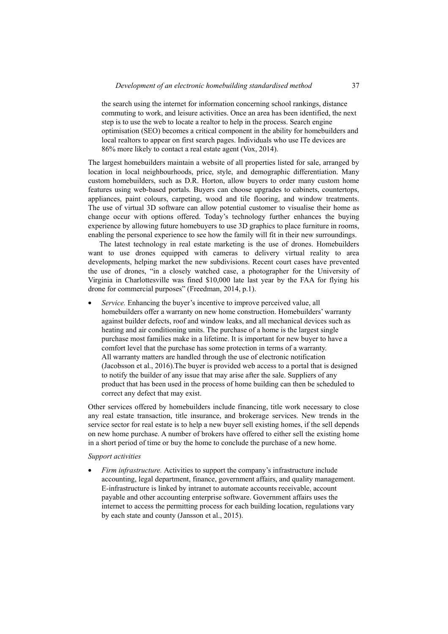the search using the internet for information concerning school rankings, distance commuting to work, and leisure activities. Once an area has been identified, the next step is to use the web to locate a realtor to help in the process. Search engine optimisation (SEO) becomes a critical component in the ability for homebuilders and local realtors to appear on first search pages. Individuals who use ITe devices are 86% more likely to contact a real estate agent (Vox, 2014).

The largest homebuilders maintain a website of all properties listed for sale, arranged by location in local neighbourhoods, price, style, and demographic differentiation. Many custom homebuilders, such as D.R. Horton, allow buyers to order many custom home features using web-based portals. Buyers can choose upgrades to cabinets, countertops, appliances, paint colours, carpeting, wood and tile flooring, and window treatments. The use of virtual 3D software can allow potential customer to visualise their home as change occur with options offered. Today's technology further enhances the buying experience by allowing future homebuyers to use 3D graphics to place furniture in rooms, enabling the personal experience to see how the family will fit in their new surroundings.

The latest technology in real estate marketing is the use of drones. Homebuilders want to use drones equipped with cameras to delivery virtual reality to area developments, helping market the new subdivisions. Recent court cases have prevented the use of drones, "in a closely watched case, a photographer for the University of Virginia in Charlottesville was fined \$10,000 late last year by the FAA for flying his drone for commercial purposes" (Freedman, 2014, p.1).

Service. Enhancing the buyer's incentive to improve perceived value, all homebuilders offer a warranty on new home construction. Homebuilders' warranty against builder defects, roof and window leaks, and all mechanical devices such as heating and air conditioning units. The purchase of a home is the largest single purchase most families make in a lifetime. It is important for new buyer to have a comfort level that the purchase has some protection in terms of a warranty. All warranty matters are handled through the use of electronic notification (Jacobsson et al., 2016).The buyer is provided web access to a portal that is designed to notify the builder of any issue that may arise after the sale. Suppliers of any product that has been used in the process of home building can then be scheduled to correct any defect that may exist.

Other services offered by homebuilders include financing, title work necessary to close any real estate transaction, title insurance, and brokerage services. New trends in the service sector for real estate is to help a new buyer sell existing homes, if the sell depends on new home purchase. A number of brokers have offered to either sell the existing home in a short period of time or buy the home to conclude the purchase of a new home.

#### *Support activities*

• *Firm infrastructure.* Activities to support the company's infrastructure include accounting, legal department, finance, government affairs, and quality management. E-infrastructure is linked by intranet to automate accounts receivable, account payable and other accounting enterprise software. Government affairs uses the internet to access the permitting process for each building location, regulations vary by each state and county (Jansson et al., 2015).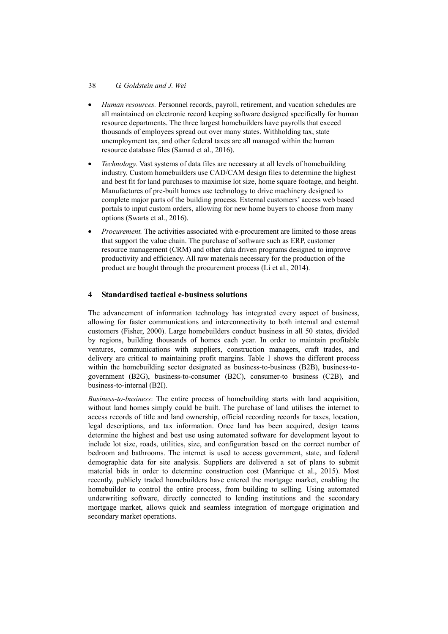- *Human resources.* Personnel records, payroll, retirement, and vacation schedules are all maintained on electronic record keeping software designed specifically for human resource departments. The three largest homebuilders have payrolls that exceed thousands of employees spread out over many states. Withholding tax, state unemployment tax, and other federal taxes are all managed within the human resource database files (Samad et al., 2016).
- *Technology.* Vast systems of data files are necessary at all levels of homebuilding industry. Custom homebuilders use CAD/CAM design files to determine the highest and best fit for land purchases to maximise lot size, home square footage, and height. Manufactures of pre-built homes use technology to drive machinery designed to complete major parts of the building process. External customers' access web based portals to input custom orders, allowing for new home buyers to choose from many options (Swarts et al., 2016).
- *Procurement.* The activities associated with e-procurement are limited to those areas that support the value chain. The purchase of software such as ERP, customer resource management (CRM) and other data driven programs designed to improve productivity and efficiency. All raw materials necessary for the production of the product are bought through the procurement process (Li et al., 2014).

# **4 Standardised tactical e-business solutions**

The advancement of information technology has integrated every aspect of business, allowing for faster communications and interconnectivity to both internal and external customers (Fisher, 2000). Large homebuilders conduct business in all 50 states, divided by regions, building thousands of homes each year. In order to maintain profitable ventures, communications with suppliers, construction managers, craft trades, and delivery are critical to maintaining profit margins. Table 1 shows the different process within the homebuilding sector designated as business-to-business (B2B), business-togovernment (B2G), business-to-consumer (B2C), consumer-to business (C2B), and business-to-internal (B2I).

*Business-to-business*: The entire process of homebuilding starts with land acquisition, without land homes simply could be built. The purchase of land utilises the internet to access records of title and land ownership, official recording records for taxes, location, legal descriptions, and tax information. Once land has been acquired, design teams determine the highest and best use using automated software for development layout to include lot size, roads, utilities, size, and configuration based on the correct number of bedroom and bathrooms. The internet is used to access government, state, and federal demographic data for site analysis. Suppliers are delivered a set of plans to submit material bids in order to determine construction cost (Manrique et al., 2015). Most recently, publicly traded homebuilders have entered the mortgage market, enabling the homebuilder to control the entire process, from building to selling. Using automated underwriting software, directly connected to lending institutions and the secondary mortgage market, allows quick and seamless integration of mortgage origination and secondary market operations.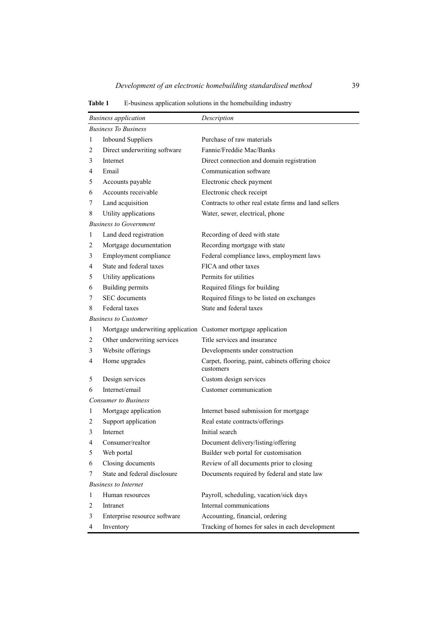|                             | <b>Business</b> application                                     | Description                                                    |  |  |  |  |  |  |
|-----------------------------|-----------------------------------------------------------------|----------------------------------------------------------------|--|--|--|--|--|--|
| <b>Business To Business</b> |                                                                 |                                                                |  |  |  |  |  |  |
| 1                           | <b>Inbound Suppliers</b>                                        | Purchase of raw materials                                      |  |  |  |  |  |  |
| 2                           | Direct underwriting software                                    | Fannie/Freddie Mac/Banks                                       |  |  |  |  |  |  |
| 3                           | Internet                                                        | Direct connection and domain registration                      |  |  |  |  |  |  |
| 4                           | Email                                                           | Communication software                                         |  |  |  |  |  |  |
| 5                           | Accounts payable                                                | Electronic check payment                                       |  |  |  |  |  |  |
| 6                           | Accounts receivable                                             | Electronic check receipt                                       |  |  |  |  |  |  |
| 7                           | Land acquisition                                                | Contracts to other real estate firms and land sellers          |  |  |  |  |  |  |
| 8                           | Utility applications                                            | Water, sewer, electrical, phone                                |  |  |  |  |  |  |
|                             | <b>Business to Government</b>                                   |                                                                |  |  |  |  |  |  |
| 1                           | Land deed registration                                          | Recording of deed with state                                   |  |  |  |  |  |  |
| 2                           | Mortgage documentation                                          | Recording mortgage with state                                  |  |  |  |  |  |  |
| 3                           | Employment compliance                                           | Federal compliance laws, employment laws                       |  |  |  |  |  |  |
| 4                           | State and federal taxes                                         | FICA and other taxes                                           |  |  |  |  |  |  |
| 5                           | Utility applications                                            | Permits for utilities                                          |  |  |  |  |  |  |
| 6                           | <b>Building permits</b>                                         | Required filings for building                                  |  |  |  |  |  |  |
| 7                           | <b>SEC</b> documents                                            | Required filings to be listed on exchanges                     |  |  |  |  |  |  |
| 8                           | <b>Federal</b> taxes                                            | State and federal taxes                                        |  |  |  |  |  |  |
|                             | <b>Business to Customer</b>                                     |                                                                |  |  |  |  |  |  |
| 1                           | Mortgage underwriting application Customer mortgage application |                                                                |  |  |  |  |  |  |
| 2                           | Other underwriting services                                     | Title services and insurance                                   |  |  |  |  |  |  |
| 3                           | Website offerings                                               | Developments under construction                                |  |  |  |  |  |  |
| 4                           | Home upgrades                                                   | Carpet, flooring, paint, cabinets offering choice<br>customers |  |  |  |  |  |  |
| 5                           | Design services                                                 | Custom design services                                         |  |  |  |  |  |  |
| 6                           | Internet/email                                                  | Customer communication                                         |  |  |  |  |  |  |
|                             | <b>Consumer to Business</b>                                     |                                                                |  |  |  |  |  |  |
| 1                           | Mortgage application                                            | Internet based submission for mortgage                         |  |  |  |  |  |  |
| 2                           | Support application                                             | Real estate contracts/offerings                                |  |  |  |  |  |  |
| 3                           | Internet                                                        | Initial search                                                 |  |  |  |  |  |  |
| 4                           | Consumer/realtor                                                | Document delivery/listing/offering                             |  |  |  |  |  |  |
| 5                           | Web portal                                                      | Builder web portal for customisation                           |  |  |  |  |  |  |
| 6                           | Closing documents                                               | Review of all documents prior to closing                       |  |  |  |  |  |  |
| 7                           | State and federal disclosure                                    | Documents required by federal and state law                    |  |  |  |  |  |  |
|                             | <b>Business to Internet</b>                                     |                                                                |  |  |  |  |  |  |
| 1                           | Human resources                                                 | Payroll, scheduling, vacation/sick days                        |  |  |  |  |  |  |
| 2                           | Intranet                                                        | Internal communications                                        |  |  |  |  |  |  |
| 3                           | Enterprise resource software                                    | Accounting, financial, ordering                                |  |  |  |  |  |  |
| 4                           | Inventory                                                       | Tracking of homes for sales in each development                |  |  |  |  |  |  |

Table 1 E-business application solutions in the homebuilding industry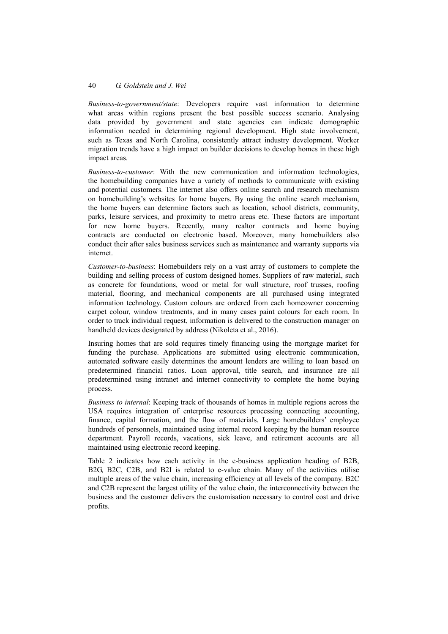*Business-to-government/state*: Developers require vast information to determine what areas within regions present the best possible success scenario. Analysing data provided by government and state agencies can indicate demographic information needed in determining regional development. High state involvement, such as Texas and North Carolina, consistently attract industry development. Worker migration trends have a high impact on builder decisions to develop homes in these high impact areas.

*Business-to-customer*: With the new communication and information technologies, the homebuilding companies have a variety of methods to communicate with existing and potential customers. The internet also offers online search and research mechanism on homebuilding's websites for home buyers. By using the online search mechanism, the home buyers can determine factors such as location, school districts, community, parks, leisure services, and proximity to metro areas etc. These factors are important for new home buyers. Recently, many realtor contracts and home buying contracts are conducted on electronic based. Moreover, many homebuilders also conduct their after sales business services such as maintenance and warranty supports via internet.

*Customer-to-business*: Homebuilders rely on a vast array of customers to complete the building and selling process of custom designed homes. Suppliers of raw material, such as concrete for foundations, wood or metal for wall structure, roof trusses, roofing material, flooring, and mechanical components are all purchased using integrated information technology. Custom colours are ordered from each homeowner concerning carpet colour, window treatments, and in many cases paint colours for each room. In order to track individual request, information is delivered to the construction manager on handheld devices designated by address (Nikoleta et al., 2016).

Insuring homes that are sold requires timely financing using the mortgage market for funding the purchase. Applications are submitted using electronic communication, automated software easily determines the amount lenders are willing to loan based on predetermined financial ratios. Loan approval, title search, and insurance are all predetermined using intranet and internet connectivity to complete the home buying process.

*Business to internal*: Keeping track of thousands of homes in multiple regions across the USA requires integration of enterprise resources processing connecting accounting, finance, capital formation, and the flow of materials. Large homebuilders' employee hundreds of personnels, maintained using internal record keeping by the human resource department. Payroll records, vacations, sick leave, and retirement accounts are all maintained using electronic record keeping.

Table 2 indicates how each activity in the e-business application heading of B2B, B2G, B2C, C2B, and B2I is related to e-value chain. Many of the activities utilise multiple areas of the value chain, increasing efficiency at all levels of the company. B2C and C2B represent the largest utility of the value chain, the interconnectivity between the business and the customer delivers the customisation necessary to control cost and drive profits.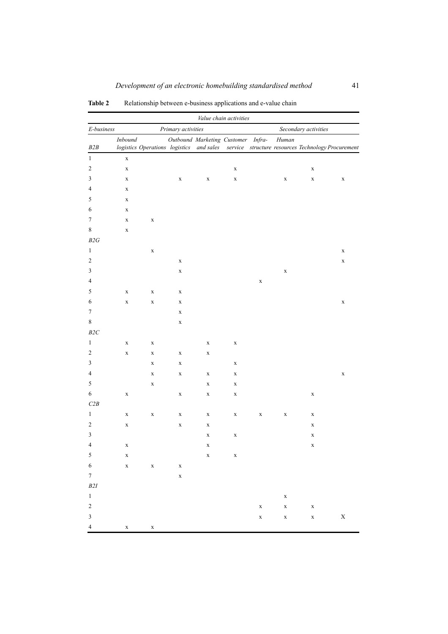| Value chain activities |             |                                          |                    |                                    |             |             |                      |             |                                                    |  |
|------------------------|-------------|------------------------------------------|--------------------|------------------------------------|-------------|-------------|----------------------|-------------|----------------------------------------------------|--|
| $E$ -business          |             |                                          | Primary activities |                                    |             |             | Secondary activities |             |                                                    |  |
| B2B                    | Inbound     | logistics Operations logistics and sales |                    | Outbound Marketing Customer Infra- |             |             | Human                |             | service structure resources Technology Procurement |  |
| $\,1$                  | $\mathbf X$ |                                          |                    |                                    |             |             |                      |             |                                                    |  |
| $\boldsymbol{2}$       | $\mathbf X$ |                                          |                    |                                    | $\mathbf X$ |             |                      | $\mathbf X$ |                                                    |  |
| 3                      | $\mathbf X$ |                                          | $\mathbf X$        | $\mathbf X$                        | $\mathbf X$ |             | $\mathbf X$          | $\mathbf X$ | $\mathbf X$                                        |  |
| $\overline{4}$         | $\mathbf X$ |                                          |                    |                                    |             |             |                      |             |                                                    |  |
| 5                      | $\mathbf X$ |                                          |                    |                                    |             |             |                      |             |                                                    |  |
| 6                      | $\mathbf X$ |                                          |                    |                                    |             |             |                      |             |                                                    |  |
| 7                      | $\mathbf X$ | $\mathbf X$                              |                    |                                    |             |             |                      |             |                                                    |  |
| $\,$ 8 $\,$            | $\mathbf X$ |                                          |                    |                                    |             |             |                      |             |                                                    |  |
| B2G                    |             |                                          |                    |                                    |             |             |                      |             |                                                    |  |
| $\mathbf{1}$           |             | $\mathbf X$                              |                    |                                    |             |             |                      |             | $\mathbf X$                                        |  |
| $\overline{c}$         |             |                                          | $\mathbf X$        |                                    |             |             |                      |             | $\mathbf X$                                        |  |
| 3                      |             |                                          | $\mathbf X$        |                                    |             |             | $\mathbf X$          |             |                                                    |  |
| $\overline{4}$         |             |                                          |                    |                                    |             | $\mathbf X$ |                      |             |                                                    |  |
| 5                      | $\mathbf X$ | $\mathbf X$                              | $\mathbf X$        |                                    |             |             |                      |             |                                                    |  |
| 6                      | $\mathbf X$ | $\mathbf X$                              | $\mathbf X$        |                                    |             |             |                      |             | $\mathbf X$                                        |  |
| $\tau$                 |             |                                          | $\mathbf X$        |                                    |             |             |                      |             |                                                    |  |
| $\,$ 8 $\,$            |             |                                          | $\mathbf X$        |                                    |             |             |                      |             |                                                    |  |
| B2C                    |             |                                          |                    |                                    |             |             |                      |             |                                                    |  |
| $\mathbf{1}$           | $\mathbf X$ | $\mathbf X$                              |                    | $\mathbf X$                        | $\mathbf X$ |             |                      |             |                                                    |  |
| $\overline{c}$         | $\mathbf X$ | $\mathbf X$                              | $\mathbf X$        | $\mathbf X$                        |             |             |                      |             |                                                    |  |
| $\mathfrak{Z}$         |             | $\mathbf X$                              | $\mathbf X$        |                                    | $\mathbf X$ |             |                      |             |                                                    |  |
| $\overline{4}$         |             | $\mathbf X$                              | $\mathbf X$        | $\mathbf X$                        | $\mathbf X$ |             |                      |             | $\mathbf X$                                        |  |
| 5                      |             | $\mathbf X$                              |                    | $\mathbf X$                        | $\mathbf X$ |             |                      |             |                                                    |  |
| $\boldsymbol{6}$       | $\mathbf X$ |                                          | $\mathbf X$        | $\mathbf X$                        | $\mathbf X$ |             |                      | $\mathbf X$ |                                                    |  |
| C2B                    |             |                                          |                    |                                    |             |             |                      |             |                                                    |  |
| $\mathbf{1}$           | $\mathbf X$ | $\mathbf X$                              | $\mathbf X$        | $\mathbf X$                        | $\mathbf X$ | $\mathbf X$ | $\mathbf X$          | X           |                                                    |  |
| $\overline{c}$         | $\mathbf X$ |                                          | $\mathbf X$        | $\mathbf X$                        |             |             |                      | $\mathbf X$ |                                                    |  |
| 3                      |             |                                          |                    | $\mathbf X$                        | $\mathbf X$ |             |                      | X           |                                                    |  |
| $\overline{4}$         | $\mathbf X$ |                                          |                    | $\mathbf X$                        |             |             |                      | $\mathbf X$ |                                                    |  |
| $\sqrt{5}$             | $\mathbf X$ |                                          |                    | $\mathbf X$                        | $\mathbf X$ |             |                      |             |                                                    |  |
| 6                      | $\mathbf X$ | $\mathbf{x}$                             | $\mathbf X$        |                                    |             |             |                      |             |                                                    |  |
| $\tau$                 |             |                                          | $\mathbf X$        |                                    |             |             |                      |             |                                                    |  |
| B2I                    |             |                                          |                    |                                    |             |             |                      |             |                                                    |  |
| $1\,$                  |             |                                          |                    |                                    |             |             | $\mathbf X$          |             |                                                    |  |
| $\sqrt{2}$             |             |                                          |                    |                                    |             | $\mathbf X$ | $\mathbf X$          | $\mathbf X$ |                                                    |  |
| $\mathfrak{Z}$         |             |                                          |                    |                                    |             | $\mathbf X$ | $\mathbf X$          | $\mathbf X$ | $\mathbf X$                                        |  |
| $\sqrt{4}$             | $\mathbf X$ | $\mathbf X$                              |                    |                                    |             |             |                      |             |                                                    |  |

Table 2 Relationship between e-business applications and e-value chain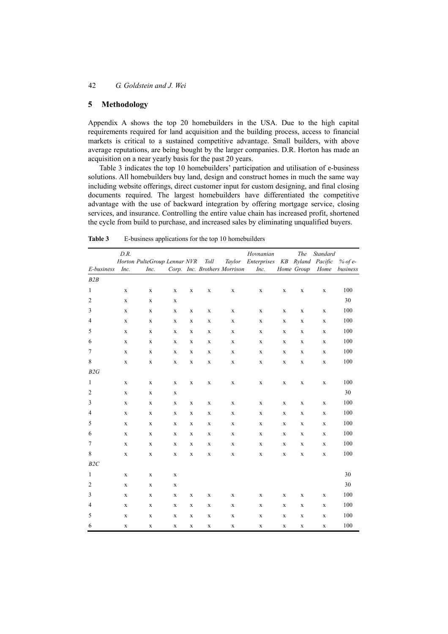#### **5 Methodology**

Appendix A shows the top 20 homebuilders in the USA. Due to the high capital requirements required for land acquisition and the building process, access to financial markets is critical to a sustained competitive advantage. Small builders, with above average reputations, are being bought by the larger companies. D.R. Horton has made an acquisition on a near yearly basis for the past 20 years.

Table 3 indicates the top 10 homebuilders' participation and utilisation of e-business solutions. All homebuilders buy land, design and construct homes in much the same way including website offerings, direct customer input for custom designing, and final closing documents required. The largest homebuilders have differentiated the competitive advantage with the use of backward integration by offering mortgage service, closing services, and insurance. Controlling the entire value chain has increased profit, shortened the cycle from build to purchase, and increased sales by eliminating unqualified buyers.

**Table 3** E-business applications for the top 10 homebuilders

|                | $D.R.$      |                              |             |             |             |                              | Hovnanian                            |             | The         | Standard    |           |
|----------------|-------------|------------------------------|-------------|-------------|-------------|------------------------------|--------------------------------------|-------------|-------------|-------------|-----------|
|                |             | Horton PulteGroup Lennar NVR |             |             | Toll        |                              | Taylor Enterprises KB Ryland Pacific |             |             |             | $%$ of e- |
| E-business     | Inc.        | Inc.                         |             |             |             | Corp. Inc. Brothers Morrison | Inc.                                 |             | Home Group  | Home        | business  |
| B2B            |             |                              |             |             |             |                              |                                      |             |             |             |           |
| $\mathbf{1}$   | $\mathbf X$ | $\mathbf X$                  | $\mathbf X$ | $\mathbf X$ | $\mathbf X$ | $\mathbf X$                  | $\mathbf X$                          | $\mathbf X$ | $\mathbf X$ | $\mathbf X$ | 100       |
| $\overline{c}$ | $\mathbf X$ | $\mathbf X$                  | $\mathbf X$ |             |             |                              |                                      |             |             |             | 30        |
| 3              | $\mathbf x$ | $\mathbf X$                  | $\mathbf x$ | $\mathbf X$ | $\mathbf X$ | $\mathbf X$                  | $\mathbf X$                          | $\mathbf X$ | $\mathbf X$ | $\mathbf X$ | 100       |
| $\overline{4}$ | X           | $\mathbf X$                  | $\mathbf X$ | $\mathbf X$ | $\mathbf X$ | $\mathbf X$                  | $\mathbf X$                          | $\mathbf X$ | $\mathbf X$ | $\mathbf X$ | 100       |
| 5              | X           | X                            | X           | X           | X           | X                            | X                                    | $\mathbf X$ | $\mathbf X$ | $\mathbf X$ | 100       |
| 6              | $\mathbf X$ | $\mathbf X$                  | $\mathbf X$ | $\mathbf X$ | $\mathbf X$ | $\mathbf X$                  | $\mathbf X$                          | $\mathbf X$ | $\mathbf X$ | $\mathbf X$ | 100       |
| 7              | X           | $\mathbf X$                  | $\mathbf X$ | $\mathbf X$ | $\mathbf X$ | $\mathbf X$                  | $\mathbf X$                          | $\mathbf X$ | $\mathbf X$ | $\mathbf X$ | 100       |
| 8              | $\mathbf X$ | $\mathbf X$                  | $\mathbf X$ | $\mathbf X$ | $\mathbf X$ | $\mathbf X$                  | $\mathbf X$                          | $\mathbf X$ | $\mathbf X$ | $\mathbf X$ | 100       |
| B2G            |             |                              |             |             |             |                              |                                      |             |             |             |           |
| $\mathbf{1}$   | X           | X                            | X           | $\mathbf X$ | X           | X                            | X                                    | $\mathbf X$ | $\mathbf X$ | $\mathbf X$ | 100       |
| $\overline{2}$ | $\mathbf X$ | $\mathbf X$                  | $\mathbf x$ |             |             |                              |                                      |             |             |             | 30        |
| 3              | $\mathbf X$ | $\mathbf X$                  | $\mathbf X$ | $\mathbf X$ | $\mathbf X$ | $\mathbf X$                  | $\mathbf X$                          | $\mathbf X$ | $\mathbf X$ | $\mathbf X$ | 100       |
| $\overline{4}$ | X           | X                            | X           | X           | X           | X                            | X                                    | X           | $\mathbf X$ | $\mathbf X$ | 100       |
| 5              | X           | $\mathbf X$                  | $\mathbf X$ | $\mathbf X$ | $\mathbf X$ | $\mathbf X$                  | $\mathbf X$                          | $\mathbf X$ | $\mathbf X$ | $\mathbf X$ | 100       |
| 6              | $\mathbf X$ | $\mathbf X$                  | $\mathbf X$ | $\mathbf X$ | $\mathbf X$ | $\mathbf X$                  | $\mathbf X$                          | $\mathbf X$ | $\mathbf X$ | $\mathbf X$ | 100       |
| 7              | X           | $\mathbf X$                  | X           | X           | X           | X                            | X                                    | X           | $\mathbf X$ | $\mathbf X$ | 100       |
| 8              | $\mathbf X$ | $\mathbf X$                  | $\mathbf X$ | $\mathbf X$ | $\mathbf X$ | $\mathbf X$                  | $\mathbf X$                          | $\mathbf X$ | $\mathbf X$ | $\mathbf X$ | 100       |
| B2C            |             |                              |             |             |             |                              |                                      |             |             |             |           |
| $\mathbf{1}$   | $\mathbf X$ | $\mathbf X$                  | $\mathbf X$ |             |             |                              |                                      |             |             |             | 30        |
| $\overline{2}$ | $\mathbf X$ | $\mathbf X$                  | $\mathbf X$ |             |             |                              |                                      |             |             |             | 30        |
| 3              | X           | $\mathbf X$                  | X           | X           | $\mathbf X$ | $\mathbf X$                  | $\mathbf X$                          | $\mathbf X$ | $\mathbf X$ | $\mathbf X$ | 100       |
| $\overline{4}$ | X           | $\mathbf X$                  | $\mathbf X$ | $\mathbf X$ | $\mathbf X$ | $\mathbf X$                  | $\mathbf X$                          | $\mathbf X$ | $\mathbf X$ | $\mathbf X$ | 100       |
| 5              | X           | $\mathbf X$                  | X           | X           | $\mathbf X$ | $\mathbf X$                  | $\mathbf X$                          | X           | X           | X           | 100       |
| 6              | $\mathbf X$ | $\mathbf X$                  | $\mathbf X$ | $\mathbf X$ | $\mathbf X$ | $\mathbf X$                  | $\mathbf X$                          | $\mathbf X$ | $\mathbf X$ | $\mathbf x$ | 100       |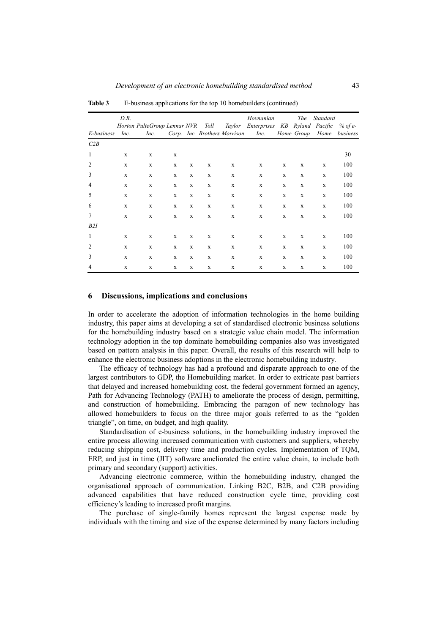| E-business     | D.R.<br>Inc. |             |             |             |             |             | Hovnanian<br>Horton PulteGroup Lennar NVR Toll Taylor Enterprises KB Ryland Pacific % of e-<br>Inc. Corp. Inc. Brothers Morrison Inc. Home Group Home |             | The         | Standard    | business |
|----------------|--------------|-------------|-------------|-------------|-------------|-------------|-------------------------------------------------------------------------------------------------------------------------------------------------------|-------------|-------------|-------------|----------|
| C2B            |              |             |             |             |             |             |                                                                                                                                                       |             |             |             |          |
| 1              | X            | X           | X           |             |             |             |                                                                                                                                                       |             |             |             | 30       |
| $\overline{2}$ | X            | $\mathbf x$ | X           | X           | X           | X           | X                                                                                                                                                     | X           | X           | X           | 100      |
| 3              | X            | X           | X           | X           | X           | X           | X                                                                                                                                                     | X           | X           | X           | 100      |
| 4              | X            | $\mathbf X$ | $\mathbf X$ | X           | $\mathbf X$ | X           | $\mathbf X$                                                                                                                                           | X           | $\mathbf x$ | X           | 100      |
| 5              | $\mathbf x$  | $\mathbf x$ | $\mathbf X$ | $\mathbf X$ | $\mathbf X$ | X           | $\mathbf X$                                                                                                                                           | $\mathbf X$ | $\mathbf x$ | $\mathbf x$ | 100      |
| 6              | $\mathbf X$  | $\mathbf X$ | $\mathbf X$ | X           | X           | X           | X                                                                                                                                                     | X           | X           | X           | 100      |
| 7              | $\mathbf X$  | $\mathbf X$ | $\mathbf X$ | X           | X           | X           | $\mathbf X$                                                                                                                                           | X           | X           | X           | 100      |
| B2I            |              |             |             |             |             |             |                                                                                                                                                       |             |             |             |          |
| $\mathbf{1}$   | X            | X           | X           | X           | X           | X           | X                                                                                                                                                     | X           | X           | X           | 100      |
| 2              | $\mathbf X$  | $\mathbf X$ | $\mathbf X$ | X           | X           | X           | X                                                                                                                                                     | X           | X           | X           | 100      |
| 3              | X            | $\mathbf x$ | X           | X           | X           | X           | X                                                                                                                                                     | X           | X           | X           | 100      |
| 4              | X            | X           | X           | X           | X           | $\mathbf X$ | $\mathbf X$                                                                                                                                           | X           | X           | X           | 100      |

Table 3 E-business applications for the top 10 homebuilders (continued)

#### **6 Discussions, implications and conclusions**

In order to accelerate the adoption of information technologies in the home building industry, this paper aims at developing a set of standardised electronic business solutions for the homebuilding industry based on a strategic value chain model. The information technology adoption in the top dominate homebuilding companies also was investigated based on pattern analysis in this paper. Overall, the results of this research will help to enhance the electronic business adoptions in the electronic homebuilding industry.

The efficacy of technology has had a profound and disparate approach to one of the largest contributors to GDP, the Homebuilding market. In order to extricate past barriers that delayed and increased homebuilding cost, the federal government formed an agency, Path for Advancing Technology (PATH) to ameliorate the process of design, permitting, and construction of homebuilding. Embracing the paragon of new technology has allowed homebuilders to focus on the three major goals referred to as the "golden triangle", on time, on budget, and high quality.

Standardisation of e-business solutions, in the homebuilding industry improved the entire process allowing increased communication with customers and suppliers, whereby reducing shipping cost, delivery time and production cycles. Implementation of TQM, ERP, and just in time (JIT) software ameliorated the entire value chain, to include both primary and secondary (support) activities.

Advancing electronic commerce, within the homebuilding industry, changed the organisational approach of communication. Linking B2C, B2B, and C2B providing advanced capabilities that have reduced construction cycle time, providing cost efficiency's leading to increased profit margins.

The purchase of single-family homes represent the largest expense made by individuals with the timing and size of the expense determined by many factors including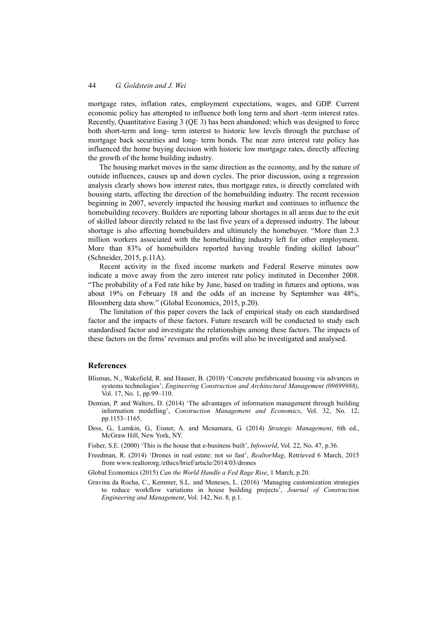mortgage rates, inflation rates, employment expectations, wages, and GDP. Current economic policy has attempted to influence both long term and short -term interest rates. Recently, Quantitative Easing 3 (QE 3) has been abandoned; which was designed to force both short-term and long- term interest to historic low levels through the purchase of mortgage back securities and long- term bonds. The near zero interest rate policy has influenced the home buying decision with historic low mortgage rates, directly affecting the growth of the home building industry.

The housing market moves in the same direction as the economy, and by the nature of outside influences, causes up and down cycles. The prior discussion, using a regression analysis clearly shows how interest rates, thus mortgage rates, is directly correlated with housing starts, affecting the direction of the homebuilding industry. The recent recession beginning in 2007, severely impacted the housing market and continues to influence the homebuilding recovery. Builders are reporting labour shortages in all areas due to the exit of skilled labour directly related to the last five years of a depressed industry. The labour shortage is also affecting homebuilders and ultimately the homebuyer. "More than 2.3 million workers associated with the homebuilding industry left for other employment. More than 83% of homebuilders reported having trouble finding skilled labour" (Schneider, 2015, p.11A).

Recent activity in the fixed income markets and Federal Reserve minutes now indicate a move away from the zero interest rate policy instituted in December 2008. "The probability of a Fed rate hike by June, based on trading in futures and options, was about 19% on February 18 and the odds of an increase by September was 48%, Bloomberg data show." (Global Economics, 2015, p.20).

The limitation of this paper covers the lack of empirical study on each standardised factor and the impacts of these factors. Future research will be conducted to study each standardised factor and investigate the relationships among these factors. The impacts of these factors on the firms' revenues and profits will also be investigated and analysed.

#### **References**

- Blismas, N., Wakefield, R. and Hauser, B. (2010) 'Concrete prefabricated housing via advances in systems technologies', *Engineering Construction and Architectural Management (09699988)*, Vol. 17, No. 1, pp.99–110.
- Demian, P. and Walters, D. (2014) 'The advantages of information management through building information modelling', *Construction Management and Economics*, Vol. 32, No. 12, pp.1153–1165.
- Dess, G., Lumkin, G., Eisner, A. and Mcnamara, G. (2014) *Strategic Management*, 6th ed., McGraw Hill, New York, NY.
- Fisher, S.E. (2000) 'This is the house that e-business built', *Infoworld*, Vol. 22, No. 47, p.36.
- Freedman, R. (2014) 'Drones in real estate: not so fast', *RealtorMag*, Retrieved 6 March, 2015 from www.realtororg./ethics/brief/article/2014/03/drones
- Global Economics (2015) *Can the World Handle a Fed Rage Rise*, 1 March, p.20.
- Gravina da Rocha, C., Kemmer, S.L. and Meneses, L. (2016) 'Managing customization strategies to reduce workflow variations in house building projects', *Journal of Construction Engineering and Management*, Vol. 142, No. 8, p.1.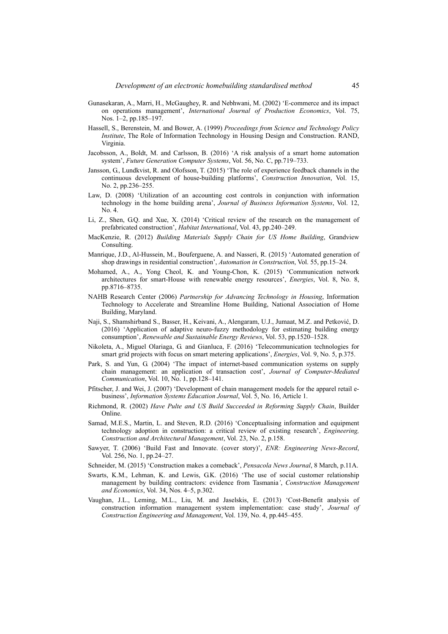- Gunasekaran, A., Marri, H., McGaughey, R. and Nebhwani, M. (2002) 'E-commerce and its impact on operations management', *International Journal of Production Economics*, Vol. 75, Nos. 1–2, pp.185–197.
- Hassell, S., Berenstein, M. and Bower, A. (1999) *Proceedings from Science and Technology Policy Institute*, The Role of Information Technology in Housing Design and Construction. RAND, Virginia.
- Jacobsson, A., Boldt, M. and Carlsson, B. (2016) 'A risk analysis of a smart home automation system', *Future Generation Computer Systems*, Vol. 56, No. C, pp.719–733.
- Jansson, G., Lundkvist, R. and Olofsson, T. (2015) 'The role of experience feedback channels in the continuous development of house-building platforms', *Construction Innovation*, Vol. 15, No. 2, pp.236–255.
- Law, D. (2008) 'Utilization of an accounting cost controls in conjunction with information technology in the home building arena', *Journal of Business Information Systems*, Vol. 12,  $No. 4$
- Li, Z., Shen, G.Q. and Xue, X. (2014) 'Critical review of the research on the management of prefabricated construction', *Habitat International*, Vol. 43, pp.240–249.
- MacKenzie, R. (2012) *Building Materials Supply Chain for US Home Building*, Grandview **Consulting**
- Manrique, J.D., Al-Hussein, M., Bouferguene, A. and Nasseri, R. (2015) 'Automated generation of shop drawings in residential construction', *Automation in Construction*, Vol. 55, pp.15–24.
- Mohamed, A., A., Yong Cheol, K. and Young-Chon, K. (2015) 'Communication network architectures for smart-House with renewable energy resources', *Energies*, Vol. 8, No. 8, pp.8716*–*8735.
- NAHB Research Center (2006) *Partnership for Advancing Technology in Housing*, Information Technology to Accelerate and Streamline Home Building, National Association of Home Building, Maryland.
- Naji, S., Shamshirband S., Basser, H., Keivani, A., Alengaram, U.J., Jumaat, M.Z. and Petković, D. (2016) 'Application of adaptive neuro-fuzzy methodology for estimating building energy consumption', *Renewable and Sustainable Energy Reviews*, Vol. 53, pp.1520–1528.
- Nikoleta, A., Miguel Olariaga, G. and Gianluca, F. (2016) 'Telecommunication technologies for smart grid projects with focus on smart metering applications', *Energies*, Vol. 9, No. 5, p*.*375.
- Park, S. and Yun, G. (2004) 'The impact of internet-based communication systems on supply chain management: an application of transaction cost', *Journal of Computer-Mediated Communication*, Vol. 10, No. 1, pp.128–141.
- Pfitscher, J. and Wei, J. (2007) 'Development of chain management models for the apparel retail ebusiness', *Information Systems Education Journal*, Vol. 5, No. 16, Article 1.
- Richmond, R. (2002) *Have Pulte and US Build Succeeded in Reforming Supply Chain*, Builder Online.
- Samad, M.E.S., Martin, L. and Steven, R.D. (2016) 'Conceptualising information and equipment technology adoption in construction: a critical review of existing research', *Engineering, Construction and Architectural Management*, Vol. 23, No. 2, p.158.
- Sawyer, T. (2006) 'Build Fast and Innovate. (cover story)', *ENR: Engineering News-Record*, Vol. 256, No. 1, pp.24–27.
- Schneider, M. (2015) 'Construction makes a comeback', *Pensacola News Journal*, 8 March, p.11A.
- Swarts, K.M., Lehman, K. and Lewis, G.K. (2016) 'The use of social customer relationship management by building contractors: evidence from Tasmania*'*, *Construction Management and Economics*, Vol. 34, Nos. 4–5, p.302.
- Vaughan, J.L., Leming, M.L., Liu, M. and Jaselskis, E. (2013) 'Cost-Benefit analysis of construction information management system implementation: case study', *Journal of Construction Engineering and Management*, Vol. 139, No. 4, pp.445–455.